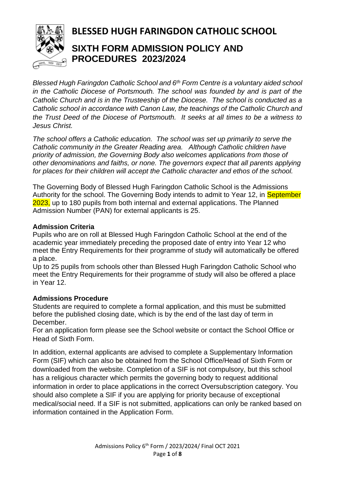

# **BLESSED HUGH FARINGDON CATHOLIC SCHOOL**

## **SIXTH FORM ADMISSION POLICY AND PROCEDURES 2023/2024**

*Blessed Hugh Faringdon Catholic School and 6th Form Centre is a voluntary aided school in the Catholic Diocese of Portsmouth. The school was founded by and is part of the Catholic Church and is in the Trusteeship of the Diocese. The school is conducted as a Catholic school in accordance with Canon Law, the teachings of the Catholic Church and the Trust Deed of the Diocese of Portsmouth. It seeks at all times to be a witness to Jesus Christ.*

*The school offers a Catholic education. The school was set up primarily to serve the Catholic community in the Greater Reading area. Although Catholic children have priority of admission, the Governing Body also welcomes applications from those of other denominations and faiths, or none. The governors expect that all parents applying for places for their children will accept the Catholic character and ethos of the school.*

The Governing Body of Blessed Hugh Faringdon Catholic School is the Admissions Authority for the school. The Governing Body intends to admit to Year 12, in September 2023, up to 180 pupils from both internal and external applications. The Planned Admission Number (PAN) for external applicants is 25.

## **Admission Criteria**

Pupils who are on roll at Blessed Hugh Faringdon Catholic School at the end of the academic year immediately preceding the proposed date of entry into Year 12 who meet the Entry Requirements for their programme of study will automatically be offered a place.

Up to 25 pupils from schools other than Blessed Hugh Faringdon Catholic School who meet the Entry Requirements for their programme of study will also be offered a place in Year 12.

## **Admissions Procedure**

Students are required to complete a formal application, and this must be submitted before the published closing date, which is by the end of the last day of term in December.

For an application form please see the School website or contact the School Office or Head of Sixth Form.

In addition, external applicants are advised to complete a Supplementary Information Form (SIF) which can also be obtained from the School Office/Head of Sixth Form or downloaded from the website. Completion of a SIF is not compulsory, but this school has a religious character which permits the governing body to request additional information in order to place applications in the correct Oversubscription category. You should also complete a SIF if you are applying for priority because of exceptional medical/social need. If a SIF is not submitted, applications can only be ranked based on information contained in the Application Form.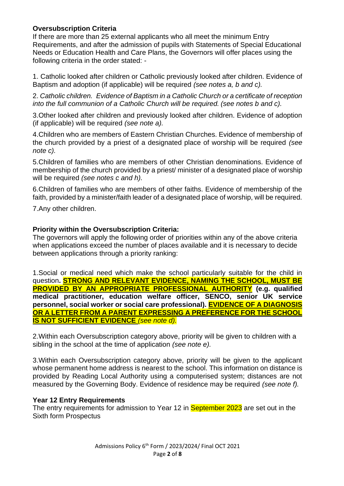## **Oversubscription Criteria**

If there are more than 25 external applicants who all meet the minimum Entry Requirements, and after the admission of pupils with Statements of Special Educational Needs or Education Health and Care Plans, the Governors will offer places using the following criteria in the order stated: -

1. Catholic looked after children or Catholic previously looked after children. Evidence of Baptism and adoption (if applicable) will be required *(see notes a, b and c).*

2. *Catholic children. Evidence of Baptism in a Catholic Church or a certificate of reception into the full communion of a Catholic Church will be required. (see notes b and c).*

3.Other looked after children and previously looked after children. Evidence of adoption (if applicable) will be required *(see note a).*

4.Children who are members of Eastern Christian Churches. Evidence of membership of the church provided by a priest of a designated place of worship will be required *(see note c).*

5.Children of families who are members of other Christian denominations. Evidence of membership of the church provided by a priest/ minister of a designated place of worship will be required *(see notes c and h).*

6.Children of families who are members of other faiths. Evidence of membership of the faith, provided by a minister/faith leader of a designated place of worship, will be required.

7.Any other children.

## **Priority within the Oversubscription Criteria:**

The governors will apply the following order of priorities within any of the above criteria when applications exceed the number of places available and it is necessary to decide between applications through a priority ranking:

1.Social or medical need which make the school particularly suitable for the child in question**. STRONG AND RELEVANT EVIDENCE, NAMING THE SCHOOL, MUST BE PROVIDED BY AN APPROPRIATE PROFESSIONAL AUTHORITY (e.g. qualified medical practitioner, education welfare officer, SENCO, senior UK service personnel, social worker or social care professional). EVIDENCE OF A DIAGNOSIS OR A LETTER FROM A PARENT EXPRESSING A PREFERENCE FOR THE SCHOOL IS NOT SUFFICIENT EVIDENCE** *(see note d).*

2.Within each Oversubscription category above, priority will be given to children with a sibling in the school at the time of application *(see note e).* 

3.Within each Oversubscription category above, priority will be given to the applicant whose permanent home address is nearest to the school. This information on distance is provided by Reading Local Authority using a computerised system; distances are not measured by the Governing Body. Evidence of residence may be required *(see note f).*

## **Year 12 Entry Requirements**

The entry requirements for admission to Year 12 in **September 2023** are set out in the Sixth form Prospectus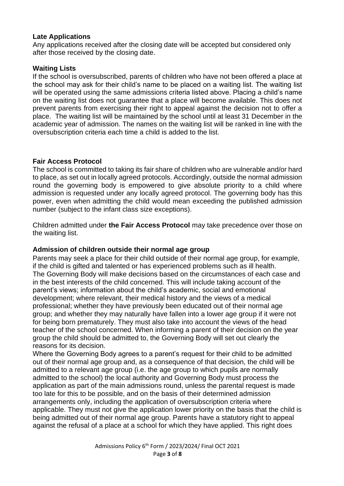#### **Late Applications**

Any applications received after the closing date will be accepted but considered only after those received by the closing date.

### **Waiting Lists**

If the school is oversubscribed, parents of children who have not been offered a place at the school may ask for their child's name to be placed on a waiting list. The waiting list will be operated using the same admissions criteria listed above. Placing a child's name on the waiting list does not guarantee that a place will become available. This does not prevent parents from exercising their right to appeal against the decision not to offer a place. The waiting list will be maintained by the school until at least 31 December in the academic year of admission. The names on the waiting list will be ranked in line with the oversubscription criteria each time a child is added to the list.

#### **Fair Access Protocol**

The school is committed to taking its fair share of children who are vulnerable and/or hard to place, as set out in locally agreed protocols. Accordingly, outside the normal admission round the governing body is empowered to give absolute priority to a child where admission is requested under any locally agreed protocol. The governing body has this power, even when admitting the child would mean exceeding the published admission number (subject to the infant class size exceptions).

Children admitted under **the Fair Access Protocol** may take precedence over those on the waiting list.

## **Admission of children outside their normal age group**

Parents may seek a place for their child outside of their normal age group, for example, if the child is gifted and talented or has experienced problems such as ill health. The Governing Body will make decisions based on the circumstances of each case and in the best interests of the child concerned. This will include taking account of the parent's views; information about the child's academic, social and emotional development; where relevant, their medical history and the views of a medical professional; whether they have previously been educated out of their normal age group; and whether they may naturally have fallen into a lower age group if it were not for being born prematurely. They must also take into account the views of the head teacher of the school concerned. When informing a parent of their decision on the year group the child should be admitted to, the Governing Body will set out clearly the reasons for its decision.

Where the Governing Body agrees to a parent's request for their child to be admitted out of their normal age group and, as a consequence of that decision, the child will be admitted to a relevant age group (i.e. the age group to which pupils are normally admitted to the school) the local authority and Governing Body must process the application as part of the main admissions round, unless the parental request is made too late for this to be possible, and on the basis of their determined admission arrangements only, including the application of oversubscription criteria where applicable. They must not give the application lower priority on the basis that the child is being admitted out of their normal age group. Parents have a statutory right to appeal against the refusal of a place at a school for which they have applied. This right does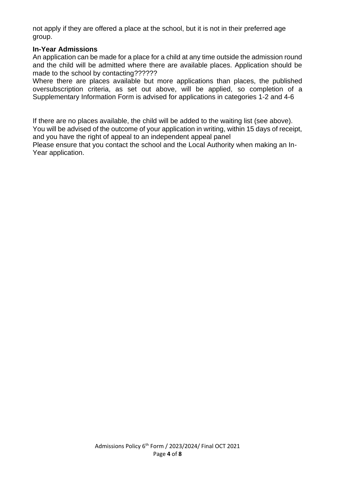not apply if they are offered a place at the school, but it is not in their preferred age group.

#### **In-Year Admissions**

An application can be made for a place for a child at any time outside the admission round and the child will be admitted where there are available places. Application should be made to the school by contacting??????

Where there are places available but more applications than places, the published oversubscription criteria, as set out above, will be applied, so completion of a Supplementary Information Form is advised for applications in categories 1-2 and 4-6

If there are no places available, the child will be added to the waiting list (see above). You will be advised of the outcome of your application in writing, within 15 days of receipt, and you have the right of appeal to an independent appeal panel

Please ensure that you contact the school and the Local Authority when making an In-Year application.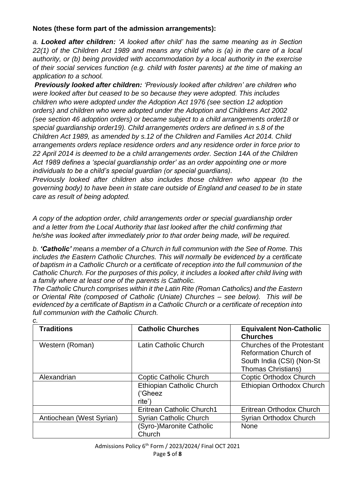## **Notes (these form part of the admission arrangements):**

*a. Looked after children: 'A looked after child' has the same meaning as in Section 22(1) of the Children Act 1989 and means any child who is (a) in the care of a local authority, or (b) being provided with accommodation by a local authority in the exercise of their social services function (e.g. child with foster parents) at the time of making an application to a school.*

*Previously looked after children: 'Previously looked after children' are children who were looked after but ceased to be so because they were adopted. This includes children who were adopted under the Adoption Act 1976 (see section 12 adoption orders) and children who were adopted under the Adoption and Childrens Act 2002 (see section 46 adoption orders) or became subject to a child arrangements order18 or special guardianship order19). Child arrangements orders are defined in s.8 of the Children Act 1989, as amended by s.12 of the Children and Families Act 2014. Child arrangements orders replace residence orders and any residence order in force prior to 22 April 2014 is deemed to be a child arrangements order. Section 14A of the Children Act 1989 defines a 'special guardianship order' as an order appointing one or more individuals to be a child's special guardian (or special guardians).*

*Previously looked after children also includes those children who appear (to the governing body) to have been in state care outside of England and ceased to be in state care as result of being adopted.*

*A copy of the adoption order, child arrangements order or special guardianship order and a letter from the Local Authority that last looked after the child confirming that he/she was looked after immediately prior to that order being made, will be required.*

*b. 'Catholic' means a member of a Church in full communion with the See of Rome. This includes the Eastern Catholic Churches. This will normally be evidenced by a certificate of baptism in a Catholic Church or a certificate of reception into the full communion of the Catholic Church. For the purposes of this policy, it includes a looked after child living with a family where at least one of the parents is Catholic.* 

*The Catholic Church comprises within it the Latin Rite (Roman Catholics) and the Eastern or Oriental Rite (composed of Catholic (Uniate) Churches – see below). This will be evidenced by a certificate of Baptism in a Catholic Church or a certificate of reception into full communion with the Catholic Church. c.*

| <b>Traditions</b>        | <b>Catholic Churches</b>                       | <b>Equivalent Non-Catholic</b><br><b>Churches</b>                                                                           |
|--------------------------|------------------------------------------------|-----------------------------------------------------------------------------------------------------------------------------|
| Western (Roman)          | Latin Catholic Church                          | <b>Churches of the Protestant</b><br><b>Reformation Church of</b><br>South India (CSI) (Non-St<br><b>Thomas Christians)</b> |
| Alexandrian              | <b>Coptic Catholic Church</b>                  | Coptic Orthodox Church                                                                                                      |
|                          | Ethiopian Catholic Church<br>('Gheez<br>rite') | Ethiopian Orthodox Church                                                                                                   |
|                          | <b>Eritrean Catholic Church1</b>               | Eritrean Orthodox Church                                                                                                    |
| Antiochean (West Syrian) | <b>Syrian Catholic Church</b>                  | Syrian Orthodox Church                                                                                                      |
|                          | (Syro-)Maronite Catholic<br>Church             | <b>None</b>                                                                                                                 |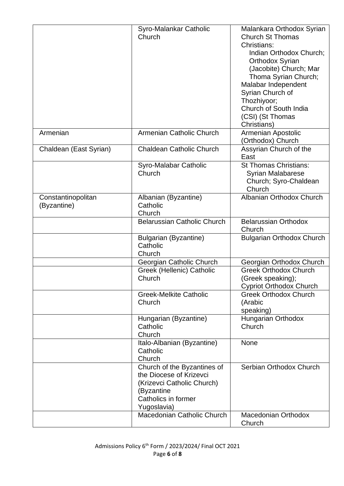|                        | Syro-Malankar Catholic             | Malankara Orthodox Syrian        |
|------------------------|------------------------------------|----------------------------------|
|                        | Church                             | <b>Church St Thomas</b>          |
|                        |                                    | Christians:                      |
|                        |                                    | Indian Orthodox Church;          |
|                        |                                    | <b>Orthodox Syrian</b>           |
|                        |                                    | (Jacobite) Church; Mar           |
|                        |                                    | Thoma Syrian Church;             |
|                        |                                    | Malabar Independent              |
|                        |                                    |                                  |
|                        |                                    | Syrian Church of                 |
|                        |                                    | Thozhiyoor;                      |
|                        |                                    | Church of South India            |
|                        |                                    | (CSI) (St Thomas                 |
|                        |                                    | Christians)                      |
| Armenian               | Armenian Catholic Church           | Armenian Apostolic               |
|                        |                                    | (Orthodox) Church                |
| Chaldean (East Syrian) | <b>Chaldean Catholic Church</b>    | Assyrian Church of the           |
|                        |                                    | East                             |
|                        | Syro-Malabar Catholic              | <b>St Thomas Christians:</b>     |
|                        | Church                             | <b>Syrian Malabarese</b>         |
|                        |                                    | Church; Syro-Chaldean            |
|                        |                                    | Church                           |
| Constantinopolitan     | Albanian (Byzantine)               | Albanian Orthodox Church         |
| (Byzantine)            | Catholic                           |                                  |
|                        | Church                             |                                  |
|                        | <b>Belarussian Catholic Church</b> | <b>Belarussian Orthodox</b>      |
|                        |                                    | Church                           |
|                        | <b>Bulgarian (Byzantine)</b>       | <b>Bulgarian Orthodox Church</b> |
|                        | Catholic                           |                                  |
|                        | Church                             |                                  |
|                        | Georgian Catholic Church           | Georgian Orthodox Church         |
|                        | Greek (Hellenic) Catholic          | <b>Greek Orthodox Church</b>     |
|                        | Church                             | (Greek speaking);                |
|                        |                                    | <b>Cypriot Orthodox Church</b>   |
|                        | <b>Greek-Melkite Catholic</b>      | <b>Greek Orthodox Church</b>     |
|                        | Church                             | (Arabic                          |
|                        |                                    |                                  |
|                        |                                    | speaking)                        |
|                        | Hungarian (Byzantine)<br>Catholic  | Hungarian Orthodox<br>Church     |
|                        | Church                             |                                  |
|                        |                                    |                                  |
|                        | Italo-Albanian (Byzantine)         | None                             |
|                        | Catholic                           |                                  |
|                        | Church                             |                                  |
|                        | Church of the Byzantines of        | Serbian Orthodox Church          |
|                        | the Diocese of Krizevci            |                                  |
|                        | (Krizevci Catholic Church)         |                                  |
|                        | (Byzantine                         |                                  |
|                        | Catholics in former                |                                  |
|                        | Yugoslavia)                        |                                  |
|                        | Macedonian Catholic Church         | <b>Macedonian Orthodox</b>       |
|                        |                                    | Church                           |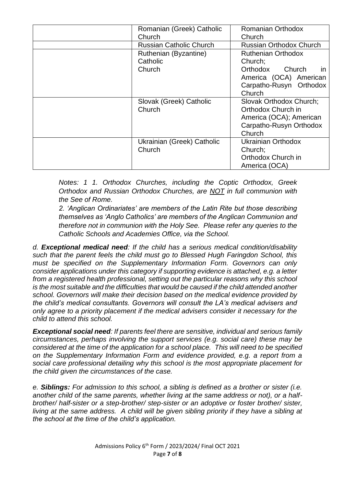| Romanian (Greek) Catholic      | Romanian Orthodox              |
|--------------------------------|--------------------------------|
| Church                         | Church                         |
| <b>Russian Catholic Church</b> | <b>Russian Orthodox Church</b> |
| Ruthenian (Byzantine)          | <b>Ruthenian Orthodox</b>      |
| Catholic                       | Church;                        |
| Church                         | Orthodox Church<br><i>in</i>   |
|                                | America (OCA) American         |
|                                | Carpatho-Rusyn Orthodox        |
|                                | Church                         |
| Slovak (Greek) Catholic        | Slovak Orthodox Church;        |
| Church                         | Orthodox Church in             |
|                                | America (OCA); American        |
|                                | Carpatho-Rusyn Orthodox        |
|                                | Church                         |
| Ukrainian (Greek) Catholic     | Ukrainian Orthodox             |
| Church                         | Church;                        |
|                                | Orthodox Church in             |
|                                | America (OCA)                  |

*Notes: 1 1. Orthodox Churches, including the Coptic Orthodox, Greek Orthodox and Russian Orthodox Churches, are NOT in full communion with the See of Rome.*

*2. 'Anglican Ordinariates' are members of the Latin Rite but those describing themselves as 'Anglo Catholics' are members of the Anglican Communion and therefore not in communion with the Holy See. Please refer any queries to the Catholic Schools and Academies Office, via the School.*

*d. Exceptional medical need: If the child has a serious medical condition/disability such that the parent feels the child must go to Blessed Hugh Faringdon School, this must be specified on the Supplementary Information Form. Governors can only consider applications under this category if supporting evidence is attached, e.g. a letter from a registered health professional, setting out the particular reasons why this school is the most suitable and the difficulties that would be caused if the child attended another school. Governors will make their decision based on the medical evidence provided by the child's medical consultants. Governors will consult the LA's medical advisers and only agree to a priority placement if the medical advisers consider it necessary for the child to attend this school.* 

*Exceptional social need: If parents feel there are sensitive, individual and serious family circumstances, perhaps involving the support services (e.g. social care) these may be considered at the time of the application for a school place. This will need to be specified on the Supplementary Information Form and evidence provided, e.g. a report from a social care professional detailing why this school is the most appropriate placement for the child given the circumstances of the case.* 

*e. Siblings: For admission to this school, a sibling is defined as a brother or sister (i.e. another child of the same parents, whether living at the same address or not), or a halfbrother/ half-sister or a step-brother/ step-sister or an adoptive or foster brother/ sister, living at the same address. A child will be given sibling priority if they have a sibling at the school at the time of the child's application.*